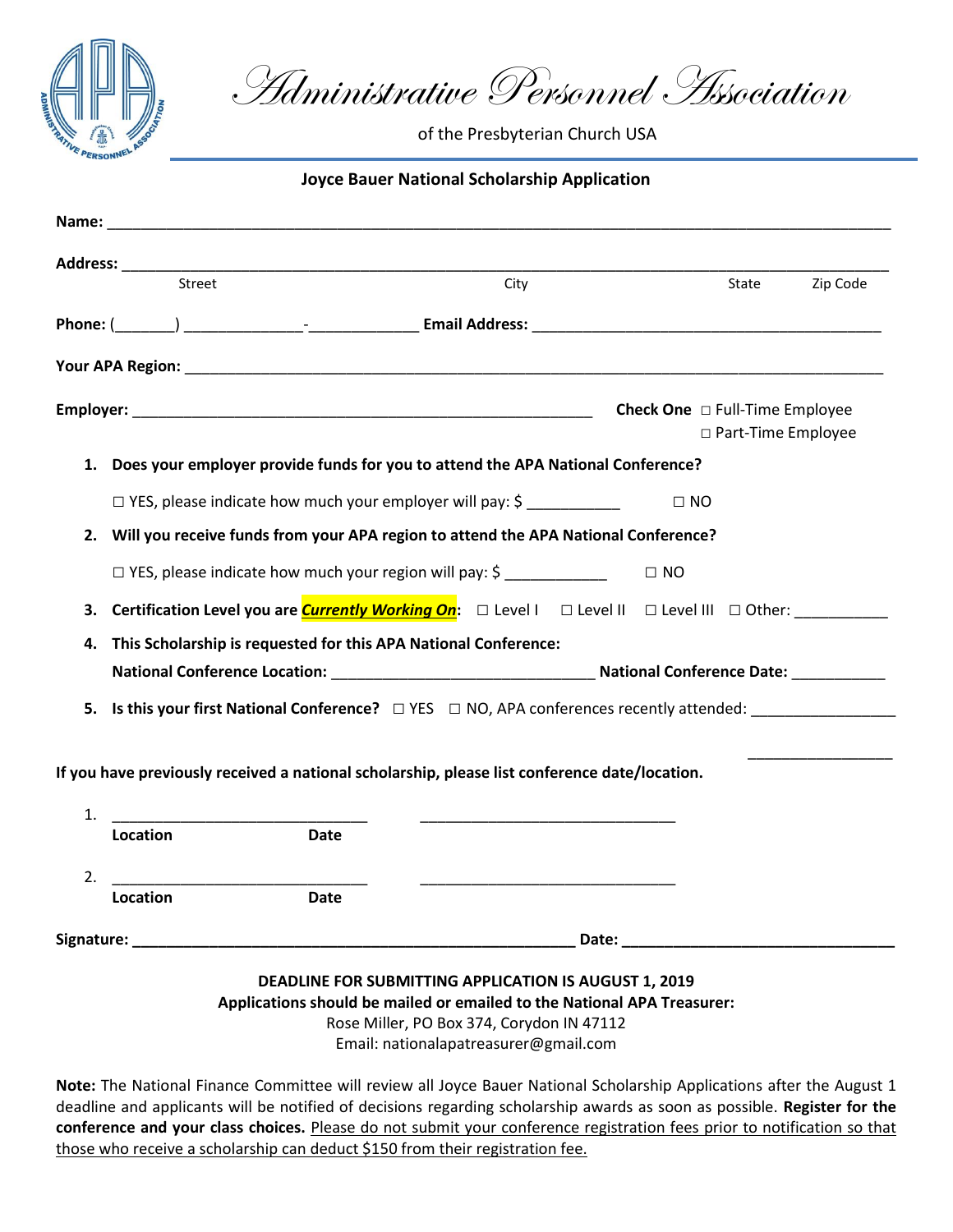

Administrative Personnel Association

of the Presbyterian Church USA

## **Joyce Bauer National Scholarship Application**

| Address: ___________                                                                          | <u> 1950 - Johann John Stone, mars eta biztanleria (</u> |                                                                                                                               |                                                                                   |          |  |
|-----------------------------------------------------------------------------------------------|----------------------------------------------------------|-------------------------------------------------------------------------------------------------------------------------------|-----------------------------------------------------------------------------------|----------|--|
| Street                                                                                        |                                                          | City                                                                                                                          | State                                                                             | Zip Code |  |
|                                                                                               |                                                          |                                                                                                                               |                                                                                   |          |  |
|                                                                                               |                                                          |                                                                                                                               |                                                                                   |          |  |
|                                                                                               |                                                          | <b>Check One</b> $\Box$ Full-Time Employee<br>□ Part-Time Employee                                                            |                                                                                   |          |  |
|                                                                                               |                                                          | 1. Does your employer provide funds for you to attend the APA National Conference?                                            |                                                                                   |          |  |
|                                                                                               |                                                          | $\Box$ YES, please indicate how much your employer will pay: $\Diamond$                                                       | $\Box$ NO                                                                         |          |  |
|                                                                                               |                                                          | 2. Will you receive funds from your APA region to attend the APA National Conference?                                         |                                                                                   |          |  |
|                                                                                               |                                                          | □ YES, please indicate how much your region will pay: \$                                                                      | $\Box$ NO                                                                         |          |  |
| 3.                                                                                            |                                                          | <b>Certification Level you are <i>Currently Working On</i>:</b> $\Box$ Level I $\Box$ Level II $\Box$ Level III $\Box$ Other: |                                                                                   |          |  |
| This Scholarship is requested for this APA National Conference:<br>4.                         |                                                          |                                                                                                                               |                                                                                   |          |  |
|                                                                                               |                                                          |                                                                                                                               | National Conference Location: Mational Conference Date: Mational Conference Date: |          |  |
|                                                                                               |                                                          | 5. Is this your first National Conference? $\square$ YES $\square$ NO, APA conferences recently attended:                     |                                                                                   |          |  |
| If you have previously received a national scholarship, please list conference date/location. |                                                          |                                                                                                                               |                                                                                   |          |  |
|                                                                                               |                                                          |                                                                                                                               |                                                                                   |          |  |
| 1.<br><b>Location</b>                                                                         | <b>Date</b>                                              |                                                                                                                               |                                                                                   |          |  |
| 2.                                                                                            |                                                          |                                                                                                                               |                                                                                   |          |  |
| <b>Location</b>                                                                               | <b>Date</b>                                              | <u> 1989 - Johann Harry Harry Harry Harry Harry Harry Harry Harry Harry Harry Harry Harry Harry Harry Harry Harry</u>         |                                                                                   |          |  |
|                                                                                               |                                                          |                                                                                                                               |                                                                                   |          |  |

**Applications should be mailed or emailed to the National APA Treasurer:**

Rose Miller, PO Box 374, Corydon IN 47112

Email: nationalapatreasurer@gmail.com

**Note:** The National Finance Committee will review all Joyce Bauer National Scholarship Applications after the August 1 deadline and applicants will be notified of decisions regarding scholarship awards as soon as possible. **Register for the conference and your class choices.** Please do not submit your conference registration fees prior to notification so that those who receive a scholarship can deduct \$150 from their registration fee.